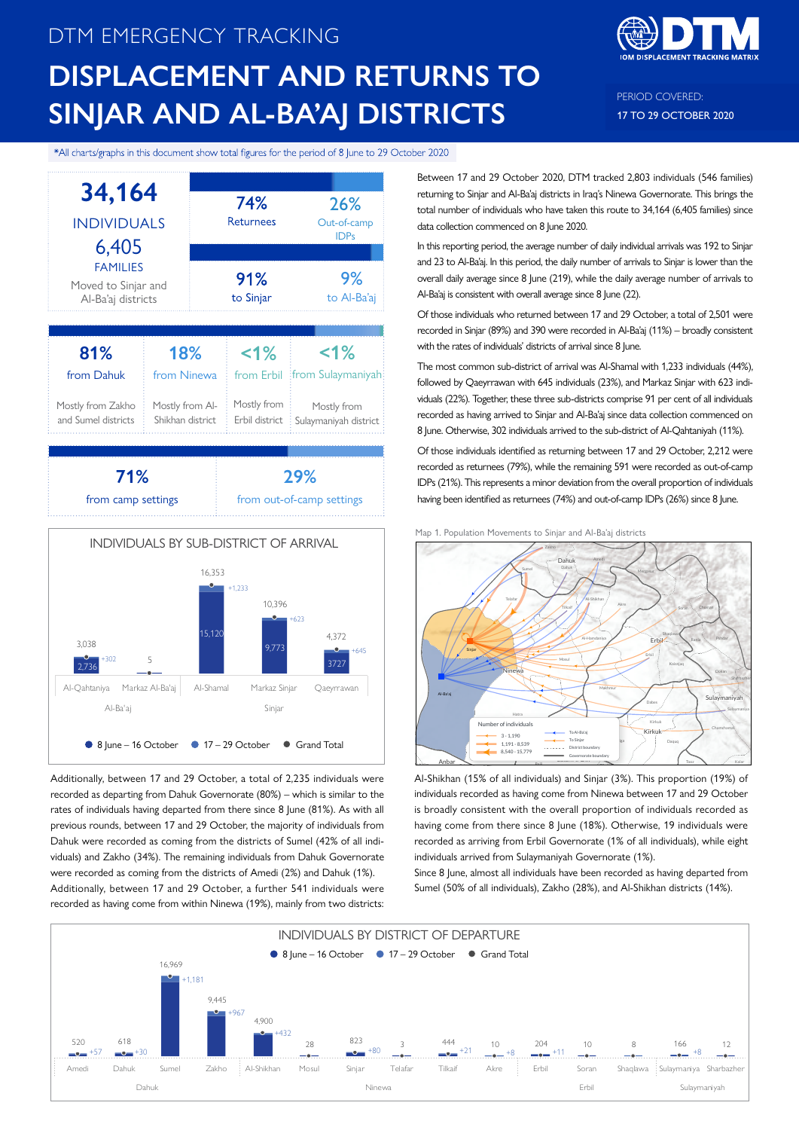# DTM EMERGENCY TRACKING **DISPLACEMENT AND RETURNS TO SINJAR AND AL-BA'AJ DISTRICTS**



PERIOD COVERED: 17 TO 29 OCTOBER 2020

\*All charts/graphs in this document show total figures for the period of 8 June to 29 October 2020



Additionally, between 17 and 29 October, a total of 2,235 individuals were recorded as departing from Dahuk Governorate (80%) – which is similar to the rates of individuals having departed from there since 8 June (81%). As with all previous rounds, between 17 and 29 October, the majority of individuals from Dahuk were recorded as coming from the districts of Sumel (42% of all individuals) and Zakho (34%). The remaining individuals from Dahuk Governorate were recorded as coming from the districts of Amedi (2%) and Dahuk (1%). Additionally, between 17 and 29 October, a further 541 individuals were recorded as having come from within Ninewa (19%), mainly from two districts:

Between 17 and 29 October 2020, DTM tracked 2,803 individuals (546 families) returning to Sinjar and Al-Ba'aj districts in Iraq's Ninewa Governorate. This brings the total number of individuals who have taken this route to 34,164 (6,405 families) since data collection commenced on 8 June 2020.

In this reporting period, the average number of daily individual arrivals was 192 to Sinjar and 23 to Al-Ba'aj. In this period, the daily number of arrivals to Sinjar is lower than the overall daily average since 8 June (219), while the daily average number of arrivals to Al-Ba'aj is consistent with overall average since 8 June (22).

Of those individuals who returned between 17 and 29 October, a total of 2,501 were recorded in Sinjar (89%) and 390 were recorded in Al-Ba'aj (11%) – broadly consistent with the rates of individuals' districts of arrival since 8 June.

The most common sub-district of arrival was Al-Shamal with 1,233 individuals (44%), followed by Qaeyrrawan with 645 individuals (23%), and Markaz Sinjar with 623 individuals (22%). Together, these three sub-districts comprise 91 per cent of all individuals recorded as having arrived to Sinjar and Al-Ba'aj since data collection commenced on 8 June. Otherwise, 302 individuals arrived to the sub-district of Al-Qahtaniyah (11%).

Of those individuals identified as returning between 17 and 29 October, 2,212 were recorded as returnees (79%), while the remaining 591 were recorded as out-of-camp IDPs (21%). This represents a minor deviation from the overall proportion of individuals having been identified as returnees (74%) and out-of-camp IDPs (26%) since 8 June.





Al-Shikhan (15% of all individuals) and Sinjar (3%). This proportion (19%) of individuals recorded as having come from Ninewa between 17 and 29 October is broadly consistent with the overall proportion of individuals recorded as having come from there since 8 June (18%). Otherwise, 19 individuals were recorded as arriving from Erbil Governorate (1% of all individuals), while eight individuals arrived from Sulaymaniyah Governorate (1%).

Since 8 June, almost all individuals have been recorded as having departed from Sumel (50% of all individuals), Zakho (28%), and Al-Shikhan districts (14%).